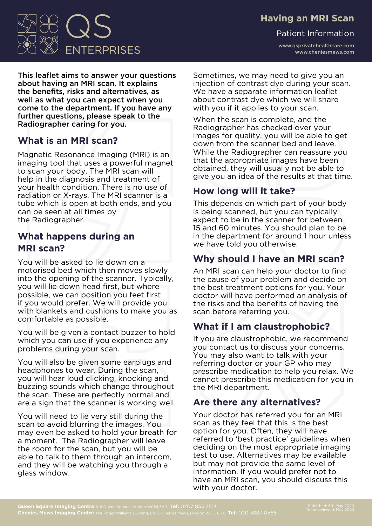### **Having an MRI Scan**

Patient Information

www.qsprivatehealthcare.com www.cheniesmews.com

Sometimes, we may need to give you an injection of contrast dye during your scan. We have a separate information leaflet about contrast dye which we will share with you if it applies to your scan.

When the scan is complete, and the Radiographer has checked over your images for quality, you will be able to get down from the scanner bed and leave. While the Radiographer can reassure you that the appropriate images have been obtained, they will usually not be able to give you an idea of the results at that time.

# **How long will it take?**

This depends on which part of your body is being scanned, but you can typically expect to be in the scanner for between 15 and 60 minutes. You should plan to be in the department for around 1 hour unless we have told you otherwise.

### **Why should I have an MRI scan?**

An MRI scan can help your doctor to find the cause of your problem and decide on the best treatment options for you. Your doctor will have performed an analysis of the risks and the benefits of having the scan before referring you.

# **What if I am claustrophobic?**

If you are claustrophobic, we recommend you contact us to discuss your concerns. You may also want to talk with your referring doctor or your GP who may prescribe medication to help you relax. We cannot prescribe this medication for you in the MRI department.

### **Are there any alternatives?**

Your doctor has referred you for an MRI scan as they feel that this is the best option for you. Often, they will have referred to 'best practice' guidelines when deciding on the most appropriate imaging test to use. Alternatives may be available but may not provide the same level of information. If you would prefer not to have an MRI scan, you should discuss this with your doctor.

# **What is an MRI scan?**

Magnetic Resonance Imaging (MRI) is an imaging tool that uses a powerful magnet to scan your body. The MRI scan will help in the diagnosis and treatment of your health condition. There is no use of radiation or X-rays. The MRI scanner is a tube which is open at both ends, and you can be seen at all times by the Radiographer.

### **What happens during an MRI scan?**

You will be asked to lie down on a motorised bed which then moves slowly into the opening of the scanner. Typically, you will lie down head first, but where possible, we can position you feet first if you would prefer. We will provide you with blankets and cushions to make you as comfortable as possible.

You will be given a contact buzzer to hold which you can use if you experience any problems during your scan.

You will also be given some earplugs and headphones to wear. During the scan, you will hear loud clicking, knocking and buzzing sounds which change throughout the scan. These are perfectly normal and are a sign that the scanner is working well.

You will need to lie very still during the scan to avoid blurring the images. You may even be asked to hold your breath for a moment. The Radiographer will leave the room for the scan, but you will be able to talk to them through an intercom, and they will be watching you through a glass window.

#### This leaflet aims to answer your questions about having an MRI scan. It explains the benefits, risks and alternatives, as well as what you can expect when you come to the department. If you have any further questions, please speak to the Radiographer caring for you.